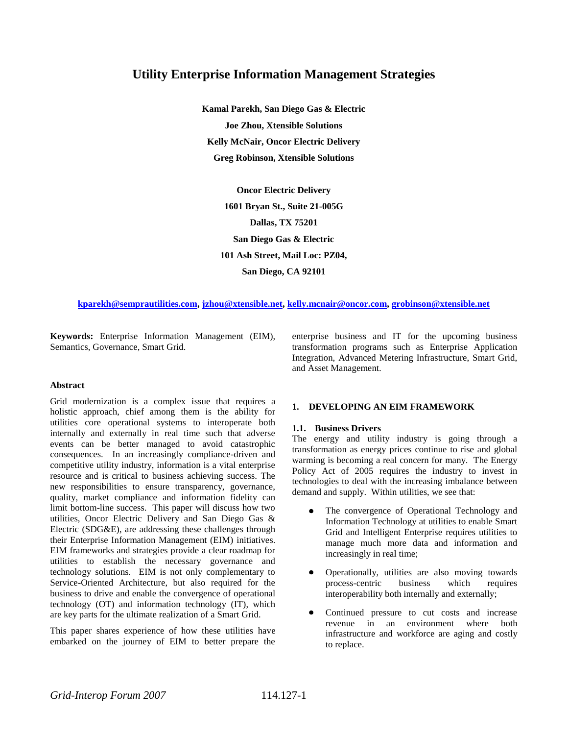# **Utility Enterprise Information Management Strategies**

**Kamal Parekh, San Diego Gas & Electric Joe Zhou, Xtensible Solutions Kelly McNair, Oncor Electric Delivery Greg Robinson, Xtensible Solutions**

> **Oncor Electric Delivery 1601 Bryan St., Suite 21-005G Dallas, TX 75201 San Diego Gas & Electric 101 Ash Street, Mail Loc: PZ04, San Diego, CA 92101**

#### **[kparekh@semprautilities.com,](mailto:kparekh@semprautilities.com) [jzhou@xtensible.net,](mailto:jzhou@xtensible.net) [kelly.mcnair@oncor.com,](mailto:kelly.mcnair@oncor.com) [grobinson@xtensible.net](mailto:grobinson@xtensible.net)**

**Keywords:** Enterprise Information Management (EIM), Semantics, Governance, Smart Grid.

#### **Abstract**

Grid modernization is a complex issue that requires a holistic approach, chief among them is the ability for utilities core operational systems to interoperate both internally and externally in real time such that adverse events can be better managed to avoid catastrophic consequences. In an increasingly compliance-driven and competitive utility industry, information is a vital enterprise resource and is critical to business achieving success. The new responsibilities to ensure transparency, governance, quality, market compliance and information fidelity can limit bottom-line success. This paper will discuss how two utilities, Oncor Electric Delivery and San Diego Gas & Electric (SDG&E), are addressing these challenges through their Enterprise Information Management (EIM) initiatives. EIM frameworks and strategies provide a clear roadmap for utilities to establish the necessary governance and technology solutions. EIM is not only complementary to Service-Oriented Architecture, but also required for the business to drive and enable the convergence of operational technology (OT) and information technology (IT), which are key parts for the ultimate realization of a Smart Grid.

This paper shares experience of how these utilities have embarked on the journey of EIM to better prepare the

enterprise business and IT for the upcoming business transformation programs such as Enterprise Application Integration, Advanced Metering Infrastructure, Smart Grid, and Asset Management.

#### **1. DEVELOPING AN EIM FRAMEWORK**

#### **1.1. Business Drivers**

The energy and utility industry is going through a transformation as energy prices continue to rise and global warming is becoming a real concern for many. The Energy Policy Act of 2005 requires the industry to invest in technologies to deal with the increasing imbalance between demand and supply. Within utilities, we see that:

- The convergence of Operational Technology and Information Technology at utilities to enable Smart Grid and Intelligent Enterprise requires utilities to manage much more data and information and increasingly in real time;
- Operationally, utilities are also moving towards process-centric business which requires interoperability both internally and externally;
- Continued pressure to cut costs and increase revenue in an environment where both infrastructure and workforce are aging and costly to replace.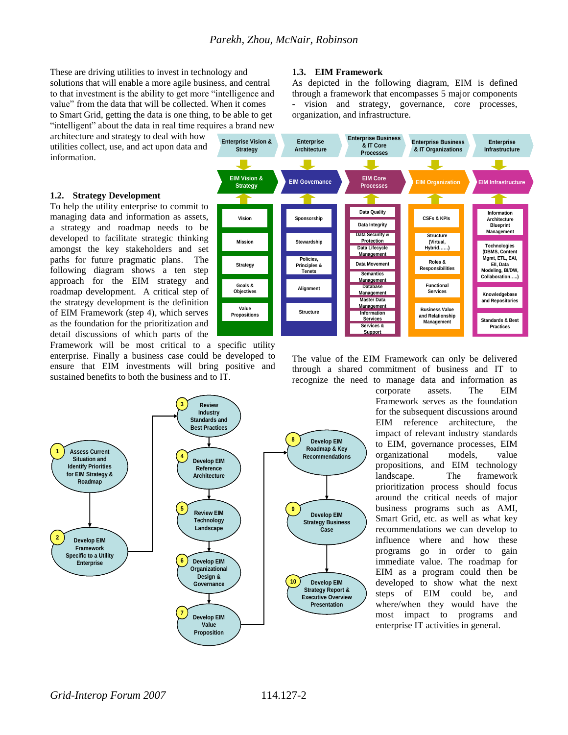These are driving utilities to invest in technology and solutions that will enable a more agile business, and central to that investment is the ability to get more "intelligence and value" from the data that will be collected. When it comes to Smart Grid, getting the data is one thing, to be able to get "intelligent" about the data in real time requires a brand new

architecture and strategy to deal with how utilities collect, use, and act upon data and information.

#### **1.2. Strategy Development**

To help the utility enterprise to commit to managing data and information as assets, a strategy and roadmap needs to be developed to facilitate strategic thinking amongst the key stakeholders and set paths for future pragmatic plans. The following diagram shows a ten step approach for the EIM strategy and roadmap development. A critical step of the strategy development is the definition of EIM Framework (step 4), which serves as the foundation for the prioritization and detail discussions of which parts of the **EIM EXECTS**<br> **EIM VISION ASSESS CONTRACTS**<br> **EIM ASSESS CONTRACTS**<br> **EXECTS**<br> **EXECTS**<br> **EXECTS**<br> **EXECTS**<br> **EIM ASSES AND**<br> **EIM EXECTS**<br> **EIM Framework** (step 4), which serves<br> **EIM Framework** (step 4), which serves<br> **E** 

Framework will be most critical to a specific utility enterprise. Finally a business case could be developed to ensure that EIM investments will bring positive and sustained benefits to both the business and to IT.



# **1.3. EIM Framework**

As depicted in the following diagram, EIM is defined through a framework that encompasses 5 major components vision and strategy, governance, core processes, organization, and infrastructure.



The value of the EIM Framework can only be delivered through a shared commitment of business and IT to recognize the need to manage data and information as

corporate assets. The EIM Framework serves as the foundation for the subsequent discussions around EIM reference architecture, the impact of relevant industry standards to EIM, governance processes, EIM organizational models, value propositions, and EIM technology landscape. The framework prioritization process should focus around the critical needs of major business programs such as AMI, Smart Grid, etc. as well as what key recommendations we can develop to influence where and how these programs go in order to gain immediate value. The roadmap for EIM as a program could then be developed to show what the next steps of EIM could be, and where/when they would have the most impact to programs and enterprise IT activities in general.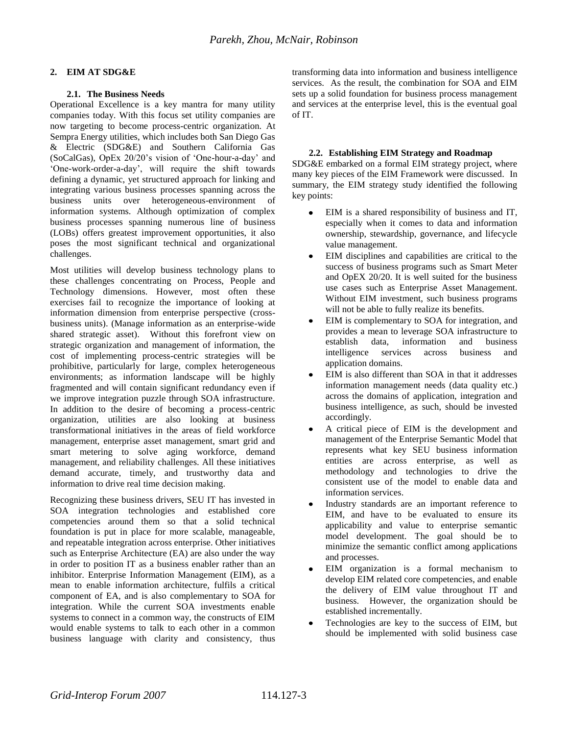# **2. EIM AT SDG&E**

# **2.1. The Business Needs**

Operational Excellence is a key mantra for many utility companies today. With this focus set utility companies are now targeting to become process-centric organization. At Sempra Energy utilities, which includes both San Diego Gas & Electric (SDG&E) and Southern California Gas (SoCalGas), OpEx 20/20"s vision of "One-hour-a-day" and "One-work-order-a-day", will require the shift towards defining a dynamic, yet structured approach for linking and integrating various business processes spanning across the business units over heterogeneous-environment of information systems. Although optimization of complex business processes spanning numerous line of business (LOBs) offers greatest improvement opportunities, it also poses the most significant technical and organizational challenges.

Most utilities will develop business technology plans to these challenges concentrating on Process, People and Technology dimensions. However, most often these exercises fail to recognize the importance of looking at information dimension from enterprise perspective (crossbusiness units). (Manage information as an enterprise-wide shared strategic asset). Without this forefront view on strategic organization and management of information, the cost of implementing process-centric strategies will be prohibitive, particularly for large, complex heterogeneous environments; as information landscape will be highly fragmented and will contain significant redundancy even if we improve integration puzzle through SOA infrastructure. In addition to the desire of becoming a process-centric organization, utilities are also looking at business transformational initiatives in the areas of field workforce management, enterprise asset management, smart grid and smart metering to solve aging workforce, demand management, and reliability challenges. All these initiatives demand accurate, timely, and trustworthy data and information to drive real time decision making.

Recognizing these business drivers, SEU IT has invested in SOA integration technologies and established core competencies around them so that a solid technical foundation is put in place for more scalable, manageable, and repeatable integration across enterprise. Other initiatives such as Enterprise Architecture (EA) are also under the way in order to position IT as a business enabler rather than an inhibitor. Enterprise Information Management (EIM), as a mean to enable information architecture, fulfils a critical component of EA, and is also complementary to SOA for integration. While the current SOA investments enable systems to connect in a common way, the constructs of EIM would enable systems to talk to each other in a common business language with clarity and consistency, thus

transforming data into information and business intelligence services. As the result, the combination for SOA and EIM sets up a solid foundation for business process management and services at the enterprise level, this is the eventual goal of IT.

# **2.2. Establishing EIM Strategy and Roadmap**

SDG&E embarked on a formal EIM strategy project, where many key pieces of the EIM Framework were discussed. In summary, the EIM strategy study identified the following key points:

- EIM is a shared responsibility of business and IT, especially when it comes to data and information ownership, stewardship, governance, and lifecycle value management.
- EIM disciplines and capabilities are critical to the success of business programs such as Smart Meter and OpEX 20/20. It is well suited for the business use cases such as Enterprise Asset Management. Without EIM investment, such business programs will not be able to fully realize its benefits.
- EIM is complementary to SOA for integration, and provides a mean to leverage SOA infrastructure to establish data, information and business intelligence services across business and application domains.
- EIM is also different than SOA in that it addresses information management needs (data quality etc.) across the domains of application, integration and business intelligence, as such, should be invested accordingly.
- A critical piece of EIM is the development and management of the Enterprise Semantic Model that represents what key SEU business information entities are across enterprise, as well as methodology and technologies to drive the consistent use of the model to enable data and information services.
- Industry standards are an important reference to EIM, and have to be evaluated to ensure its applicability and value to enterprise semantic model development. The goal should be to minimize the semantic conflict among applications and processes.
- EIM organization is a formal mechanism to develop EIM related core competencies, and enable the delivery of EIM value throughout IT and business. However, the organization should be established incrementally.
- Technologies are key to the success of EIM, but should be implemented with solid business case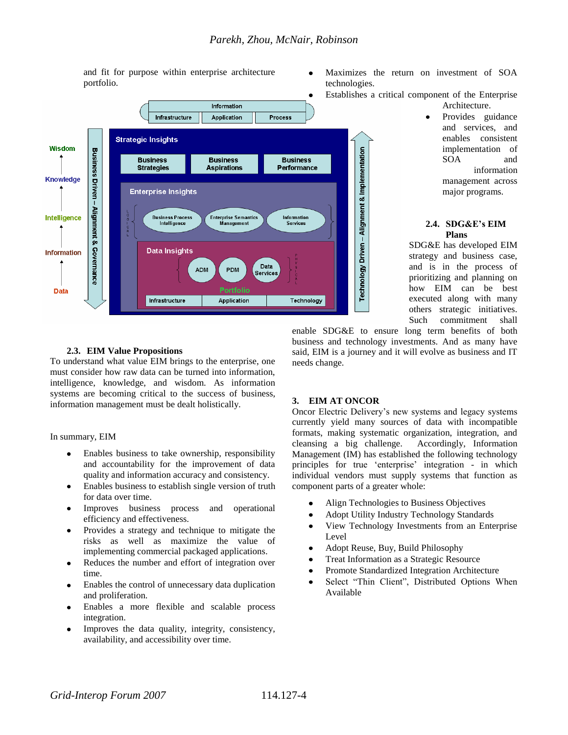and fit for purpose within enterprise architecture portfolio.



### Maximizes the return on investment of SOA technologies.

- Establishes a critical component of the Enterprise
	- Architecture. Provides guidance and services, and enables consistent implementation of SOA and information management across major programs.

# **2.4. SDG&E's EIM Plans**

SDG&E has developed EIM strategy and business case, and is in the process of prioritizing and planning on how EIM can be best executed along with many others strategic initiatives. Such commitment shall

# **2.3. EIM Value Propositions**

To understand what value EIM brings to the enterprise, one must consider how raw data can be turned into information, intelligence, knowledge, and wisdom. As information systems are becoming critical to the success of business, information management must be dealt holistically.

In summary, EIM

- Enables business to take ownership, responsibility and accountability for the improvement of data quality and information accuracy and consistency.
- Enables business to establish single version of truth  $\bullet$ for data over time.
- Improves business process and operational efficiency and effectiveness.
- Provides a strategy and technique to mitigate the  $\bullet$ risks as well as maximize the value of implementing commercial packaged applications.
- Reduces the number and effort of integration over time.
- Enables the control of unnecessary data duplication and proliferation.
- Enables a more flexible and scalable process integration.
- Improves the data quality, integrity, consistency, availability, and accessibility over time.

enable SDG&E to ensure long term benefits of both business and technology investments. And as many have said, EIM is a journey and it will evolve as business and IT needs change.

# **3. EIM AT ONCOR**

Oncor Electric Delivery"s new systems and legacy systems currently yield many sources of data with incompatible formats, making systematic organization, integration, and cleansing a big challenge. Accordingly, Information Management (IM) has established the following technology principles for true "enterprise" integration - in which individual vendors must supply systems that function as component parts of a greater whole:

- Align Technologies to Business Objectives
- Adopt Utility Industry Technology Standards
- View Technology Investments from an Enterprise  $\bullet$ Level
- Adopt Reuse, Buy, Build Philosophy  $\bullet$
- Treat Information as a Strategic Resource
- Promote Standardized Integration Architecture
- Select "Thin Client", Distributed Options When  $\bullet$ Available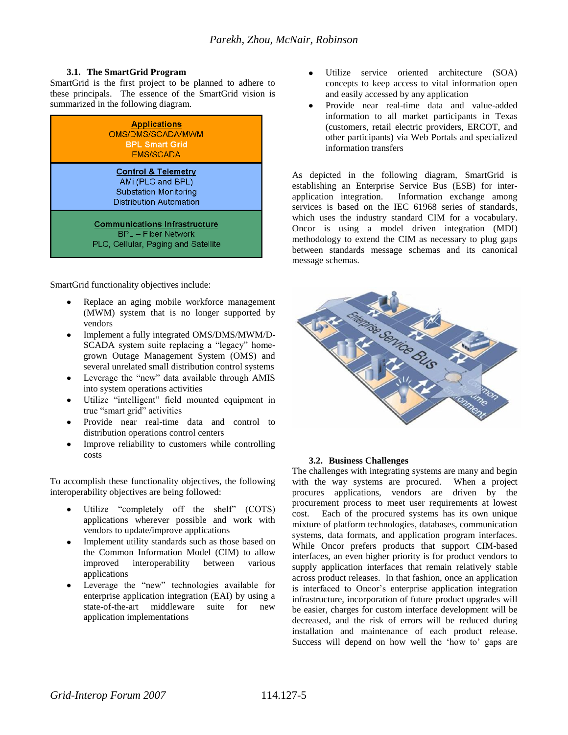# **3.1. The SmartGrid Program**

SmartGrid is the first project to be planned to adhere to these principals. The essence of the SmartGrid vision is summarized in the following diagram.

| <b>Applications</b><br>OMS/DMS/SCADA/MM/M<br><b>BPL Smart Grid</b><br><b>FMS/SCADA</b>                         |
|----------------------------------------------------------------------------------------------------------------|
| <b>Control &amp; Telemetry</b><br>AMi (PLC and BPL)<br><b>Substation Monitoring</b><br>Distribution Automation |
| <b>Communications Infrastructure</b><br><b>BPL</b> - Fiber Network<br>PLC, Cellular, Paging and Satellite      |

SmartGrid functionality objectives include:

- Replace an aging mobile workforce management (MWM) system that is no longer supported by vendors
- Implement a fully integrated OMS/DMS/MWM/D- $\bullet$ SCADA system suite replacing a "legacy" homegrown Outage Management System (OMS) and several unrelated small distribution control systems
- Leverage the "new" data available through AMIS into system operations activities
- Utilize "intelligent" field mounted equipment in true "smart grid" activities
- Provide near real-time data and control to distribution operations control centers
- Improve reliability to customers while controlling costs

To accomplish these functionality objectives, the following interoperability objectives are being followed:

- Utilize "completely off the shelf" (COTS) applications wherever possible and work with vendors to update/improve applications
- Implement utility standards such as those based on the Common Information Model (CIM) to allow improved interoperability between various applications
- Leverage the "new" technologies available for enterprise application integration (EAI) by using a state-of-the-art middleware suite for new application implementations
- Utilize service oriented architecture (SOA) concepts to keep access to vital information open and easily accessed by any application
- Provide near real-time data and value-added information to all market participants in Texas (customers, retail electric providers, ERCOT, and other participants) via Web Portals and specialized information transfers

As depicted in the following diagram, SmartGrid is establishing an Enterprise Service Bus (ESB) for interapplication integration. Information exchange among services is based on the IEC 61968 series of standards, which uses the industry standard CIM for a vocabulary. Oncor is using a model driven integration (MDI) methodology to extend the CIM as necessary to plug gaps between standards message schemas and its canonical message schemas.



### **3.2. Business Challenges**

The challenges with integrating systems are many and begin with the way systems are procured. When a project procures applications, vendors are driven by the procurement process to meet user requirements at lowest cost. Each of the procured systems has its own unique mixture of platform technologies, databases, communication systems, data formats, and application program interfaces. While Oncor prefers products that support CIM-based interfaces, an even higher priority is for product vendors to supply application interfaces that remain relatively stable across product releases. In that fashion, once an application is interfaced to Oncor's enterprise application integration infrastructure, incorporation of future product upgrades will be easier, charges for custom interface development will be decreased, and the risk of errors will be reduced during installation and maintenance of each product release. Success will depend on how well the 'how to' gaps are